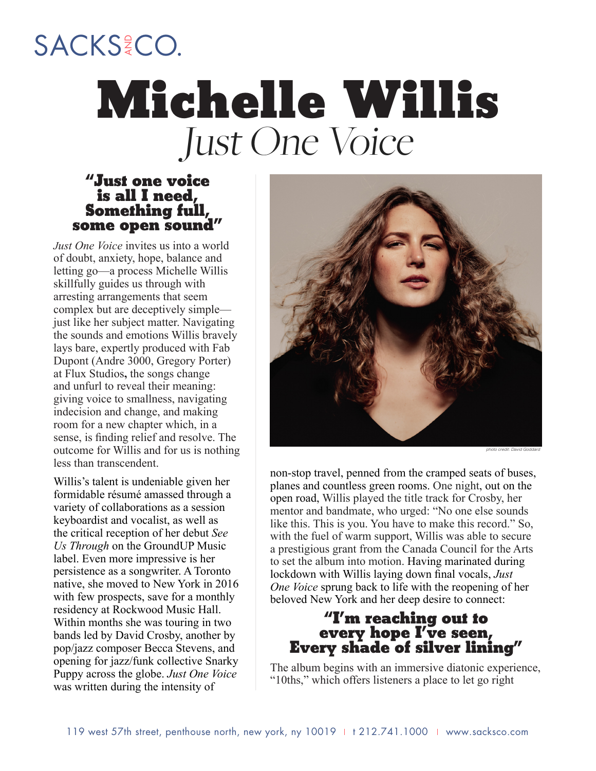# SACKS<sup>2</sup>CO. **Michelle Willis** Just One Voice

#### **"Just one voice is all I need, Something full, some open sound"**

*Just One Voice* invites us into a world of doubt, anxiety, hope, balance and letting go—a process Michelle Willis skillfully guides us through with arresting arrangements that seem complex but are deceptively simple just like her subject matter. Navigating the sounds and emotions Willis bravely lays bare, expertly produced with Fab Dupont (Andre 3000, Gregory Porter) at Flux Studios**,** the songs change and unfurl to reveal their meaning: giving voice to smallness, navigating indecision and change, and making room for a new chapter which, in a sense, is finding relief and resolve. The outcome for Willis and for us is nothing less than transcendent.

Willis's talent is undeniable given her formidable résumé amassed through a variety of collaborations as a session keyboardist and vocalist, as well as the critical reception of her debut *See Us Through* on the GroundUP Music label. Even more impressive is her persistence as a songwriter. A Toronto native, she moved to New York in 2016 with few prospects, save for a monthly residency at Rockwood Music Hall. Within months she was touring in two bands led by David Crosby, another by pop/jazz composer Becca Stevens, and opening for jazz/funk collective Snarky Puppy across the globe. *Just One Voice* was written during the intensity of



non-stop travel, penned from the cramped seats of buses, planes and countless green rooms. One night, out on the open road, Willis played the title track for Crosby, her mentor and bandmate, who urged: "No one else sounds like this. This is you. You have to make this record." So, with the fuel of warm support, Willis was able to secure a prestigious grant from the Canada Council for the Arts to set the album into motion. Having marinated during lockdown with Willis laying down final vocals, *Just One Voice* sprung back to life with the reopening of her beloved New York and her deep desire to connect:

### **"I'm reaching out to every hope I've seen, Every shade of silver lining"**

The album begins with an immersive diatonic experience, "10ths," which offers listeners a place to let go right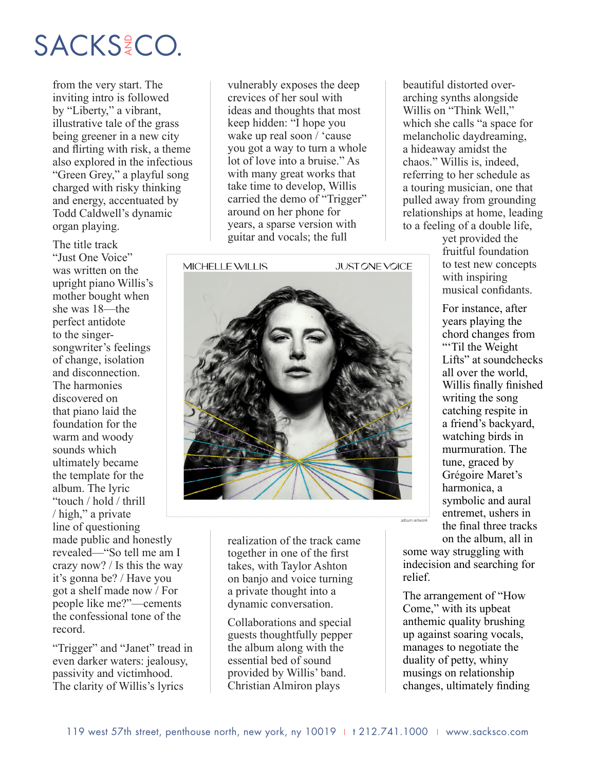### SACKS<sup>2</sup>CO.

from the very start. The inviting intro is followed by "Liberty," a vibrant, illustrative tale of the grass being greener in a new city and flirting with risk, a theme also explored in the infectious "Green Grey," a playful song charged with risky thinking and energy, accentuated by Todd Caldwell's dynamic organ playing.

The title track "Just One Voice" was written on the upright piano Willis's mother bought when she was 18—the perfect antidote to the singersongwriter's feelings of change, isolation and disconnection. The harmonies discovered on that piano laid the foundation for the warm and woody sounds which ultimately became the template for the album. The lyric "touch / hold / thrill / high," a private line of questioning made public and honestly revealed—"So tell me am I crazy now? / Is this the way it's gonna be? / Have you got a shelf made now / For people like me?"—cements the confessional tone of the record.

"Trigger" and "Janet" tread in even darker waters: jealousy, passivity and victimhood. The clarity of Willis's lyrics

vulnerably exposes the deep crevices of her soul with ideas and thoughts that most keep hidden: "I hope you wake up real soon / 'cause you got a way to turn a whole lot of love into a bruise." As with many great works that take time to develop, Willis carried the demo of "Trigger" around on her phone for years, a sparse version with guitar and vocals; the full

MICHELLE WILLIS

**JUST ONE VOICE** 



realization of the track came together in one of the first takes, with Taylor Ashton on banjo and voice turning a private thought into a dynamic conversation.

Collaborations and special guests thoughtfully pepper the album along with the essential bed of sound provided by Willis' band. Christian Almiron plays

beautiful distorted overarching synths alongside Willis on "Think Well," which she calls "a space for melancholic daydreaming, a hideaway amidst the chaos." Willis is, indeed, referring to her schedule as a touring musician, one that pulled away from grounding relationships at home, leading to a feeling of a double life,

> yet provided the fruitful foundation to test new concepts with inspiring musical confidants.

For instance, after years playing the chord changes from "Til the Weight" Lifts" at soundchecks all over the world, Willis finally finished writing the song catching respite in a friend's backyard, watching birds in murmuration. The tune, graced by Grégoire Maret's harmonica, a symbolic and aural entremet, ushers in the final three tracks on the album, all in

some way struggling with indecision and searching for relief.

*album artwork*

The arrangement of "How Come," with its upbeat anthemic quality brushing up against soaring vocals, manages to negotiate the duality of petty, whiny musings on relationship changes, ultimately finding